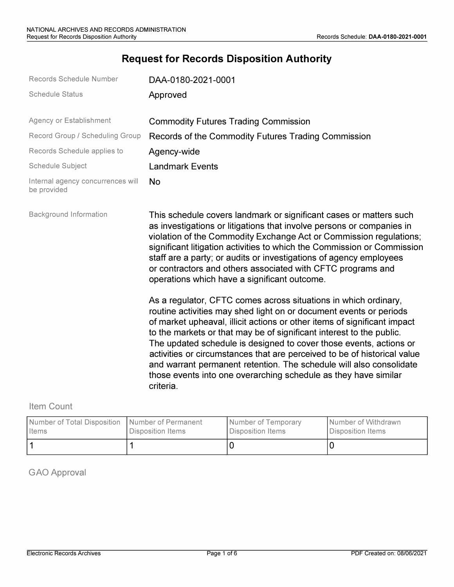# **Request for Records Disposition Authority**

| Records Schedule Number                          | DAA-0180-2021-0001                                                                                                                                                                                                                                                                                                                                                                                                                                                                                                                                                                                 |
|--------------------------------------------------|----------------------------------------------------------------------------------------------------------------------------------------------------------------------------------------------------------------------------------------------------------------------------------------------------------------------------------------------------------------------------------------------------------------------------------------------------------------------------------------------------------------------------------------------------------------------------------------------------|
| <b>Schedule Status</b>                           | Approved                                                                                                                                                                                                                                                                                                                                                                                                                                                                                                                                                                                           |
| Agency or Establishment                          | <b>Commodity Futures Trading Commission</b>                                                                                                                                                                                                                                                                                                                                                                                                                                                                                                                                                        |
| Record Group / Scheduling Group                  | Records of the Commodity Futures Trading Commission                                                                                                                                                                                                                                                                                                                                                                                                                                                                                                                                                |
| Records Schedule applies to                      | Agency-wide                                                                                                                                                                                                                                                                                                                                                                                                                                                                                                                                                                                        |
| Schedule Subject                                 | <b>Landmark Events</b>                                                                                                                                                                                                                                                                                                                                                                                                                                                                                                                                                                             |
| Internal agency concurrences will<br>be provided | <b>No</b>                                                                                                                                                                                                                                                                                                                                                                                                                                                                                                                                                                                          |
| <b>Background Information</b>                    | This schedule covers landmark or significant cases or matters such<br>as investigations or litigations that involve persons or companies in<br>violation of the Commodity Exchange Act or Commission regulations;<br>significant litigation activities to which the Commission or Commission<br>staff are a party; or audits or investigations of agency employees<br>or contractors and others associated with CFTC programs and<br>operations which have a significant outcome.                                                                                                                  |
|                                                  | As a regulator, CFTC comes across situations in which ordinary,<br>routine activities may shed light on or document events or periods<br>of market upheaval, illicit actions or other items of significant impact<br>to the markets or that may be of significant interest to the public.<br>The updated schedule is designed to cover those events, actions or<br>activities or circumstances that are perceived to be of historical value<br>and warrant permanent retention. The schedule will also consolidate<br>those events into one overarching schedule as they have similar<br>criteria. |

Item Count

| Number of Total Disposition Number of Permanent | Disposition Items | Number of Temporary | Number of Withdrawn |  |  |
|-------------------------------------------------|-------------------|---------------------|---------------------|--|--|
| <b>I</b> Items                                  |                   | Disposition Items   | Disposition Items   |  |  |
|                                                 |                   |                     |                     |  |  |

GAO Approval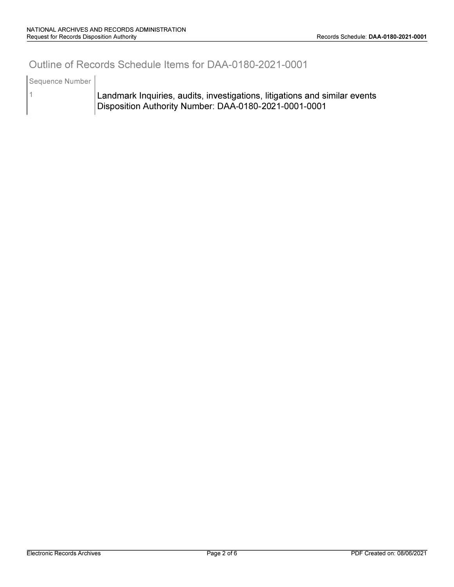### **Outline of Records Schedule Items for DAA-0180-2021-0001**

Sequence Number

1

Landmark Inquiries, audits, investigations, litigations and similar events Disposition Authority Number: DAA-0180-2021-0001-0001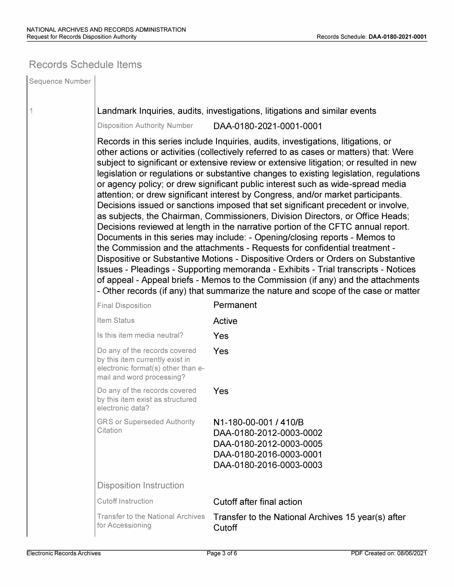### **Records Schedule Items**

| Sequence Number |                                                                                                                                                                                                                                                                                                                                                                                                                                                                                                                                                                                                                                                                                                                                                                                                                                                                                                                                                                                                                                                                                                                                                                                                                                                                                                                 |                                                                                                                                   |  |  |  |  |  |
|-----------------|-----------------------------------------------------------------------------------------------------------------------------------------------------------------------------------------------------------------------------------------------------------------------------------------------------------------------------------------------------------------------------------------------------------------------------------------------------------------------------------------------------------------------------------------------------------------------------------------------------------------------------------------------------------------------------------------------------------------------------------------------------------------------------------------------------------------------------------------------------------------------------------------------------------------------------------------------------------------------------------------------------------------------------------------------------------------------------------------------------------------------------------------------------------------------------------------------------------------------------------------------------------------------------------------------------------------|-----------------------------------------------------------------------------------------------------------------------------------|--|--|--|--|--|
| 1               | Landmark Inquiries, audits, investigations, litigations and similar events                                                                                                                                                                                                                                                                                                                                                                                                                                                                                                                                                                                                                                                                                                                                                                                                                                                                                                                                                                                                                                                                                                                                                                                                                                      |                                                                                                                                   |  |  |  |  |  |
|                 | <b>Disposition Authority Number</b>                                                                                                                                                                                                                                                                                                                                                                                                                                                                                                                                                                                                                                                                                                                                                                                                                                                                                                                                                                                                                                                                                                                                                                                                                                                                             | DAA-0180-2021-0001-0001                                                                                                           |  |  |  |  |  |
|                 | Records in this series include Inquiries, audits, investigations, litigations, or<br>other actions or activities (collectively referred to as cases or matters) that: Were<br>subject to significant or extensive review or extensive litigation; or resulted in new<br>legislation or regulations or substantive changes to existing legislation, regulations<br>or agency policy; or drew significant public interest such as wide-spread media<br>attention; or drew significant interest by Congress, and/or market participants.<br>Decisions issued or sanctions imposed that set significant precedent or involve,<br>as subjects, the Chairman, Commissioners, Division Directors, or Office Heads;<br>Decisions reviewed at length in the narrative portion of the CFTC annual report.<br>Documents in this series may include: - Opening/closing reports - Memos to<br>the Commission and the attachments - Requests for confidential treatment -<br>Dispositive or Substantive Motions - Dispositive Orders or Orders on Substantive<br>Issues - Pleadings - Supporting memoranda - Exhibits - Trial transcripts - Notices<br>of appeal - Appeal briefs - Memos to the Commission (if any) and the attachments<br>- Other records (if any) that summarize the nature and scope of the case or matter |                                                                                                                                   |  |  |  |  |  |
|                 | <b>Final Disposition</b>                                                                                                                                                                                                                                                                                                                                                                                                                                                                                                                                                                                                                                                                                                                                                                                                                                                                                                                                                                                                                                                                                                                                                                                                                                                                                        | Permanent                                                                                                                         |  |  |  |  |  |
|                 | Item Status                                                                                                                                                                                                                                                                                                                                                                                                                                                                                                                                                                                                                                                                                                                                                                                                                                                                                                                                                                                                                                                                                                                                                                                                                                                                                                     | Active                                                                                                                            |  |  |  |  |  |
|                 | Is this item media neutral?                                                                                                                                                                                                                                                                                                                                                                                                                                                                                                                                                                                                                                                                                                                                                                                                                                                                                                                                                                                                                                                                                                                                                                                                                                                                                     | Yes                                                                                                                               |  |  |  |  |  |
|                 | Do any of the records covered<br>by this item currently exist in<br>electronic format(s) other than e-<br>mail and word processing?                                                                                                                                                                                                                                                                                                                                                                                                                                                                                                                                                                                                                                                                                                                                                                                                                                                                                                                                                                                                                                                                                                                                                                             | Yes                                                                                                                               |  |  |  |  |  |
|                 | Do any of the records covered<br>by this item exist as structured<br>electronic data?                                                                                                                                                                                                                                                                                                                                                                                                                                                                                                                                                                                                                                                                                                                                                                                                                                                                                                                                                                                                                                                                                                                                                                                                                           | Yes                                                                                                                               |  |  |  |  |  |
|                 | <b>GRS or Superseded Authority</b><br>Citation                                                                                                                                                                                                                                                                                                                                                                                                                                                                                                                                                                                                                                                                                                                                                                                                                                                                                                                                                                                                                                                                                                                                                                                                                                                                  | N1-180-00-001 / 410/B<br>DAA-0180-2012-0003-0002<br>DAA-0180-2012-0003-0005<br>DAA-0180-2016-0003-0001<br>DAA-0180-2016-0003-0003 |  |  |  |  |  |
|                 | <b>Disposition Instruction</b>                                                                                                                                                                                                                                                                                                                                                                                                                                                                                                                                                                                                                                                                                                                                                                                                                                                                                                                                                                                                                                                                                                                                                                                                                                                                                  |                                                                                                                                   |  |  |  |  |  |
|                 | <b>Cutoff Instruction</b>                                                                                                                                                                                                                                                                                                                                                                                                                                                                                                                                                                                                                                                                                                                                                                                                                                                                                                                                                                                                                                                                                                                                                                                                                                                                                       | Cutoff after final action                                                                                                         |  |  |  |  |  |
|                 | <b>Transfer to the National Archives</b><br>for Accessioning                                                                                                                                                                                                                                                                                                                                                                                                                                                                                                                                                                                                                                                                                                                                                                                                                                                                                                                                                                                                                                                                                                                                                                                                                                                    | Transfer to the National Archives 15 year(s) after<br>Cutoff                                                                      |  |  |  |  |  |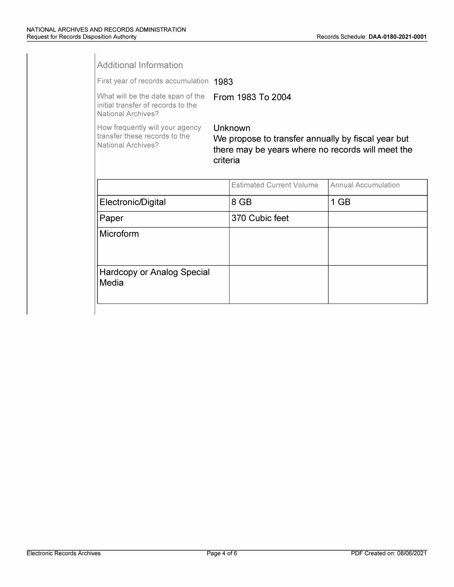| First year of records accumulation 1983                                                                                        |                                 |                                             |  |  |  |  |
|--------------------------------------------------------------------------------------------------------------------------------|---------------------------------|---------------------------------------------|--|--|--|--|
|                                                                                                                                |                                 |                                             |  |  |  |  |
| Unknown<br>We propose to transfer annually by fiscal year but<br>there may be years where no records will meet the<br>criteria |                                 |                                             |  |  |  |  |
|                                                                                                                                | <b>Estimated Current Volume</b> | Annual Accumulation                         |  |  |  |  |
| Electronic/Digital                                                                                                             |                                 | 1 GB                                        |  |  |  |  |
| Paper                                                                                                                          |                                 |                                             |  |  |  |  |
|                                                                                                                                |                                 |                                             |  |  |  |  |
| Hardcopy or Analog Special<br>Media                                                                                            |                                 |                                             |  |  |  |  |
|                                                                                                                                |                                 | From 1983 To 2004<br>8 GB<br>370 Cubic feet |  |  |  |  |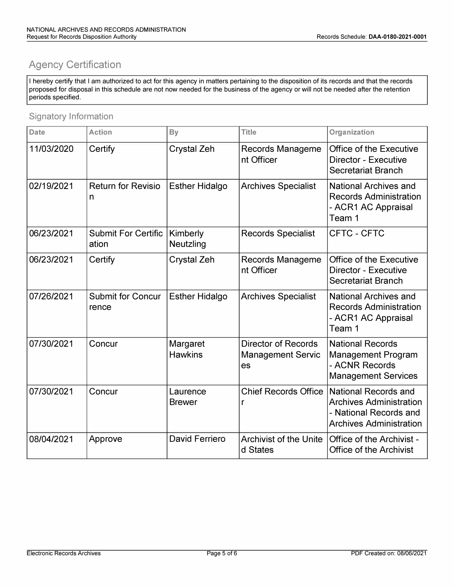## **Agency Certification**

I hereby certify that I am authorized to act for this agency in matters pertaining to the disposition of its records and that the records proposed for disposal in this schedule are not now needed for the business of the agency or will not be needed after the retention periods specified.

#### Signatory Information

| <b>Date</b> | <b>Action</b>                       | <b>By</b>                  | <b>Title</b>                                                 | Organization                                                                                                              |  |  |  |
|-------------|-------------------------------------|----------------------------|--------------------------------------------------------------|---------------------------------------------------------------------------------------------------------------------------|--|--|--|
| 11/03/2020  | Certify                             | <b>Crystal Zeh</b>         | Records Manageme<br>nt Officer                               | <b>Office of the Executive</b><br><b>Director - Executive</b><br><b>Secretariat Branch</b>                                |  |  |  |
| 02/19/2021  | <b>Return for Revisio</b><br>n      | <b>Esther Hidalgo</b>      | <b>Archives Specialist</b>                                   | <b>National Archives and</b><br><b>Records Administration</b><br>- ACR1 AC Appraisal<br>Team 1                            |  |  |  |
| 06/23/2021  | <b>Submit For Certific</b><br>ation | Kimberly<br>Neutzling      | <b>Records Specialist</b>                                    | CFTC - CFTC                                                                                                               |  |  |  |
| 06/23/2021  | Certify                             | <b>Crystal Zeh</b>         | Records Manageme<br>nt Officer                               | <b>Office of the Executive</b><br><b>Director - Executive</b><br><b>Secretariat Branch</b>                                |  |  |  |
| 07/26/2021  | <b>Submit for Concur</b><br>rence   | <b>Esther Hidalgo</b>      | <b>Archives Specialist</b>                                   | <b>National Archives and</b><br><b>Records Administration</b><br>- ACR1 AC Appraisal<br>Team 1                            |  |  |  |
| 07/30/2021  | Concur                              | Margaret<br><b>Hawkins</b> | <b>Director of Records</b><br><b>Management Servic</b><br>es | <b>National Records</b><br><b>Management Program</b><br>- ACNR Records<br><b>Management Services</b>                      |  |  |  |
| 07/30/2021  | Concur                              | Laurence<br><b>Brewer</b>  | <b>Chief Records Office</b><br>r                             | <b>National Records and</b><br><b>Archives Administration</b><br>- National Records and<br><b>Archives Administration</b> |  |  |  |
| 08/04/2021  | Approve                             | <b>David Ferriero</b>      | <b>Archivist of the Unite</b><br>d States                    | Office of the Archivist -<br><b>Office of the Archivist</b>                                                               |  |  |  |